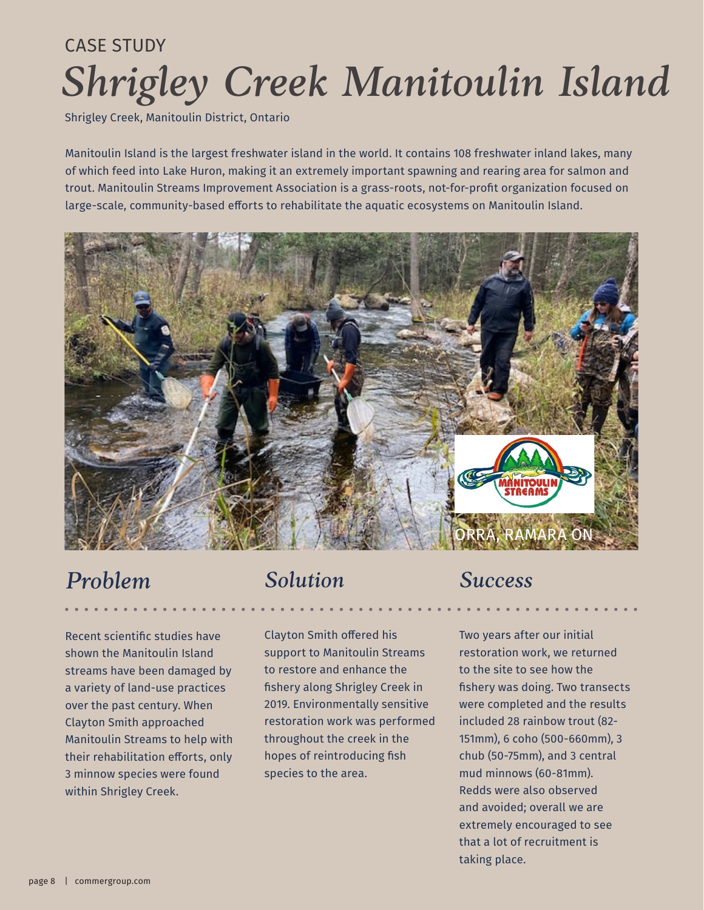# *Shrigley Creek Manitoulin Island* CASE STUDY

Shrigley Creek, Manitoulin District, Ontario

Manitoulin Island is the largest freshwater island in the world. It contains 108 freshwater inland lakes, many of which feed into Lake Huron, making it an extremely important spawning and rearing area for salmon and trout. Manitoulin Streams Improvement Association is a grass-roots, not-for-profit organization focused on large-scale, community-based efforts to rehabilitate the aquatic ecosystems on Manitoulin Island.



# *Problem*

Recent scientific studies have shown the Manitoulin Island streams have been damaged by a variety of land-use practices over the past century. When Clayton Smith approached Manitoulin Streams to help with their rehabilitation efforts, only 3 minnow species were found within Shrigley Creek.

### *Solution*

Clayton Smith offered his support to Manitoulin Streams to restore and enhance the fishery along Shrigley Creek in 2019. Environmentally sensitive restoration work was performed throughout the creek in the hopes of reintroducing fish species to the area.

# *Success*

Two years after our initial restoration work, we returned to the site to see how the fishery was doing. Two transects were completed and the results included 28 rainbow trout (82- 151mm), 6 coho (500-660mm), 3 chub (50-75mm), and 3 central mud minnows (60-81mm). Redds were also observed and avoided; overall we are extremely encouraged to see that a lot of recruitment is taking place.